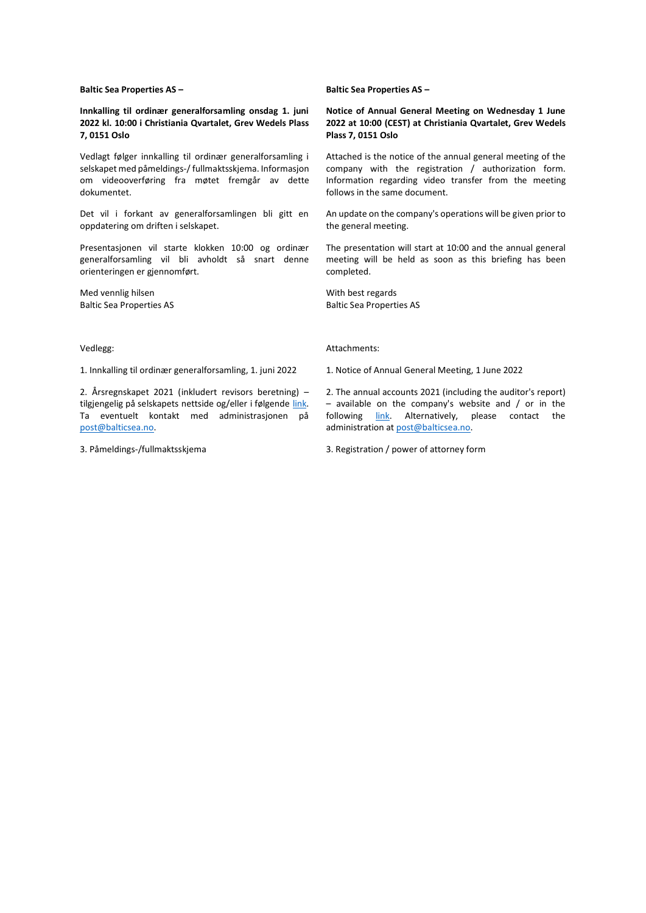**Baltic Sea Properties AS –**

**Innkalling til ordinær generalforsamling onsdag 1. juni 2022 kl. 10:00 i Christiania Qvartalet, Grev Wedels Plass 7, 0151 Oslo** 

Vedlagt følger innkalling til ordinær generalforsamling i selskapet med påmeldings-/ fullmaktsskjema. Informasjon om videooverføring fra møtet fremgår av dette dokumentet.

Det vil i forkant av generalforsamlingen bli gitt en oppdatering om driften i selskapet.

Presentasjonen vil starte klokken 10:00 og ordinær generalforsamling vil bli avholdt så snart denne orienteringen er gjennomført.

Med vennlig hilsen Baltic Sea Properties AS

Vedlegg:

1. Innkalling til ordinær generalforsamling, 1. juni 2022

2. Årsregnskapet 2021 (inkludert revisors beretning) – tilgjengelig på selskapets nettside og/eller i følgende [link.](https://balticsea.no/wp-content/uploads/2022/04/2022-04-26-Annual-Report-2021-Baltic-Sea-Properties-AS-komprimert.pdf) Ta eventuelt kontakt med administrasjonen på [post@balticsea.no.](mailto:post@balticsea.no)

3. Påmeldings-/fullmaktsskjema

**Baltic Sea Properties AS –**

**Notice of Annual General Meeting on Wednesday 1 June 2022 at 10:00 (CEST) at Christiania Qvartalet, Grev Wedels Plass 7, 0151 Oslo**

Attached is the notice of the annual general meeting of the company with the registration / authorization form. Information regarding video transfer from the meeting follows in the same document.

An update on the company's operations will be given prior to the general meeting.

The presentation will start at 10:00 and the annual general meeting will be held as soon as this briefing has been completed.

With best regards Baltic Sea Properties AS

Attachments:

1. Notice of Annual General Meeting, 1 June 2022

2. The annual accounts 2021 (including the auditor's report) – available on the company's website and / or in the following [link.](https://balticsea.no/wp-content/uploads/2022/04/2022-04-26-Annual-Report-2021-Baltic-Sea-Properties-AS-komprimert.pdf) Alternatively, please contact the administration a[t post@balticsea.no.](mailto:post@balticsea.no)

3. Registration / power of attorney form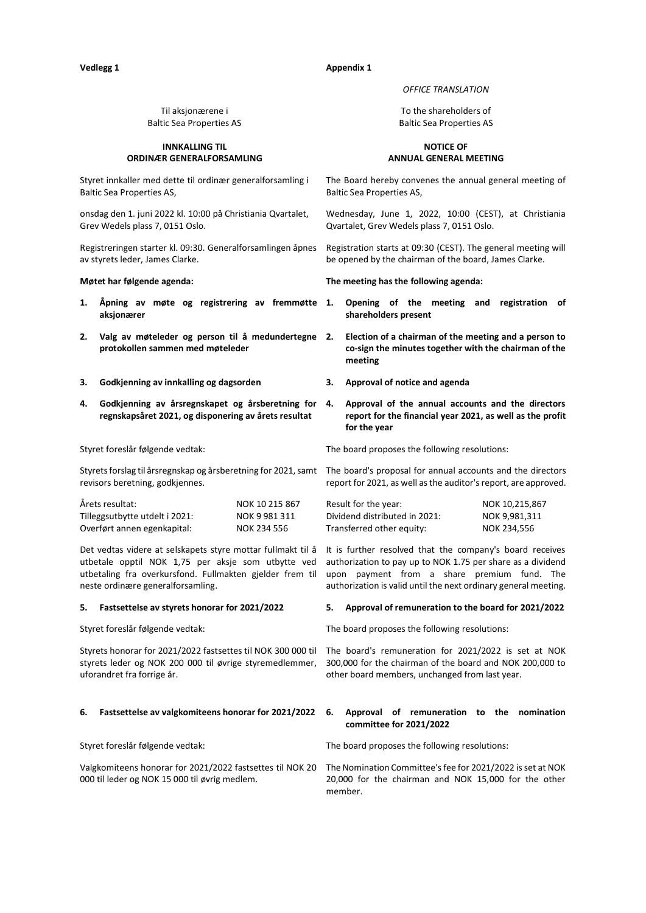# **Vedlegg 1 Appendix 1**

### *OFFICE TRANSLATION*

To the shareholders of Baltic Sea Properties AS

### **NOTICE OF ANNUAL GENERAL MEETING**

The Board hereby convenes the annual general meeting of Baltic Sea Properties AS,

Wednesday, June 1, 2022, 10:00 (CEST), at Christiania Qvartalet, Grev Wedels plass 7, 0151 Oslo.

Registration starts at 09:30 (CEST). The general meeting will be opened by the chairman of the board, James Clarke.

**Møtet har følgende agenda: The meeting has the following agenda:** 

- **1. Opening of the meeting and registration of shareholders present**
- **2. Election of a chairman of the meeting and a person to co-sign the minutes together with the chairman of the meeting**
- 
- **4. Approval of the annual accounts and the directors report for the financial year 2021, as well as the profit for the year**

The board proposes the following resolutions:

Styrets forslag til årsregnskap og årsberetning for 2021, samt The board's proposal for annual accounts and the directors report for 2021, as well as the auditor's report, are approved.

| Result for the year:          | NOK 10,215,867 |
|-------------------------------|----------------|
| Dividend distributed in 2021: | NOK 9.981.311  |
| Transferred other equity:     | NOK 234.556    |

Det vedtas videre at selskapets styre mottar fullmakt til å It is further resolved that the company's board receives utbetale opptil NOK 1,75 per aksje som utbytte ved authorization to pay up to NOK 1.75 per share as a dividend upon payment from a share premium fund. The authorization is valid until the next ordinary general meeting.

### **5. Fastsettelse av styrets honorar for 2021/2022 5. Approval of remuneration to the board for 2021/2022**

The board proposes the following resolutions:

The board's remuneration for 2021/2022 is set at NOK 300,000 for the chairman of the board and NOK 200,000 to other board members, unchanged from last year.

# **committee for 2021/2022**

The board proposes the following resolutions:

20,000 for the chairman and NOK 15,000 for the other member.

# Til aksjonærene i Baltic Sea Properties AS

# **INNKALLING TIL ORDINÆR GENERALFORSAMLING**

Styret innkaller med dette til ordinær generalforsamling i Baltic Sea Properties AS,

onsdag den 1. juni 2022 kl. 10:00 på Christiania Qvartalet, Grev Wedels plass 7, 0151 Oslo.

Registreringen starter kl. 09:30. Generalforsamlingen åpnes av styrets leder, James Clarke.

- **1. Åpning av møte og registrering av fremmøtte aksjonærer**
- **2. Valg av møteleder og person til å medundertegne protokollen sammen med møteleder**
- **3. Godkjenning av innkalling og dagsorden 3. Approval of notice and agenda**
- **4. Godkjenning av årsregnskapet og årsberetning for regnskapsåret 2021, og disponering av årets resultat**

Styret foreslår følgende vedtak:

revisors beretning, godkjennes.

| Årets resultat:                | NOK 10 215 867 |
|--------------------------------|----------------|
| Tilleggsutbytte utdelt i 2021: | NOK 9 981 311  |
| Overført annen egenkapital:    | NOK 234 556    |

utbetaling fra overkursfond. Fullmakten gjelder frem til neste ordinære generalforsamling.

Styret foreslår følgende vedtak:

Styrets honorar for 2021/2022 fastsettes til NOK 300 000 til styrets leder og NOK 200 000 til øvrige styremedlemmer, uforandret fra forrige år.

### **6. Fastsettelse av valgkomiteens honorar for 2021/2022 6. Approval of remuneration to the nomination**

Styret foreslår følgende vedtak:

Valgkomiteens honorar for 2021/2022 fastsettes til NOK 20 The Nomination Committee's fee for 2021/2022 is set at NOK 000 til leder og NOK 15 000 til øvrig medlem.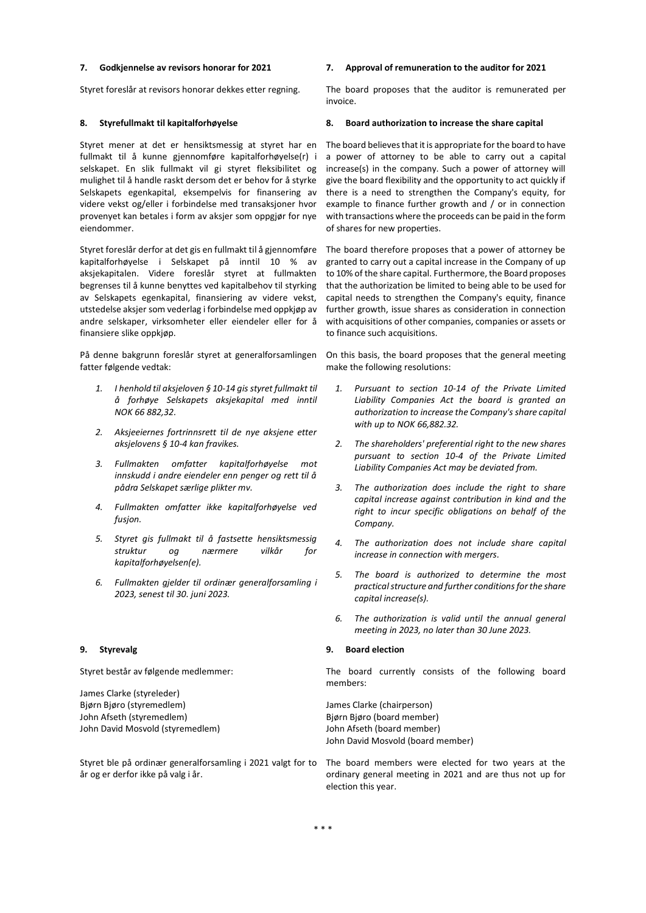Styret foreslår at revisors honorar dekkes etter regning. The board proposes that the auditor is remunerated per

Styret mener at det er hensiktsmessig at styret har en fullmakt til å kunne gjennomføre kapitalforhøyelse(r) i selskapet. En slik fullmakt vil gi styret fleksibilitet og mulighet til å handle raskt dersom det er behov for å styrke Selskapets egenkapital, eksempelvis for finansering av videre vekst og/eller i forbindelse med transaksjoner hvor provenyet kan betales i form av aksjer som oppgjør for nye eiendommer.

Styret foreslår derfor at det gis en fullmakt til å gjennomføre kapitalforhøyelse i Selskapet på inntil 10 % av aksjekapitalen. Videre foreslår styret at fullmakten begrenses til å kunne benyttes ved kapitalbehov til styrking av Selskapets egenkapital, finansiering av videre vekst, utstedelse aksjer som vederlag i forbindelse med oppkjøp av andre selskaper, virksomheter eller eiendeler eller for å finansiere slike oppkjøp.

På denne bakgrunn foreslår styret at generalforsamlingen fatter følgende vedtak:

- *1. I henhold til aksjeloven § 10-14 gis styret fullmakt til å forhøye Selskapets aksjekapital med inntil NOK 66 882,32.*
- *2. Aksjeeiernes fortrinnsrett til de nye aksjene etter aksjelovens § 10-4 kan fravikes.*
- *3. Fullmakten omfatter kapitalforhøyelse mot innskudd i andre eiendeler enn penger og rett til å pådra Selskapet særlige plikter mv.*
- *4. Fullmakten omfatter ikke kapitalforhøyelse ved fusjon.*
- *5. Styret gis fullmakt til å fastsette hensiktsmessig struktur og nærmere vilkår for kapitalforhøyelsen(e).*
- *6. Fullmakten gjelder til ordinær generalforsamling i 2023, senest til 30. juni 2023.*

Styret består av følgende medlemmer:

James Clarke (styreleder) Bjørn Bjøro (styremedlem) John Afseth (styremedlem) John David Mosvold (styremedlem)

Styret ble på ordinær generalforsamling i 2021 valgt for to år og er derfor ikke på valg i år.

### **7. Godkjennelse av revisors honorar for 2021 7. Approval of remuneration to the auditor for 2021**

invoice.

### **8. Styrefullmakt til kapitalforhøyelse 8. Board authorization to increase the share capital**

The board believes that it is appropriate for the board to have a power of attorney to be able to carry out a capital increase(s) in the company. Such a power of attorney will give the board flexibility and the opportunity to act quickly if there is a need to strengthen the Company's equity, for example to finance further growth and / or in connection with transactions where the proceeds can be paid in the form of shares for new properties.

The board therefore proposes that a power of attorney be granted to carry out a capital increase in the Company of up to 10% of the share capital. Furthermore, the Board proposes that the authorization be limited to being able to be used for capital needs to strengthen the Company's equity, finance further growth, issue shares as consideration in connection with acquisitions of other companies, companies or assets or to finance such acquisitions.

On this basis, the board proposes that the general meeting make the following resolutions:

- *1. Pursuant to section 10-14 of the Private Limited Liability Companies Act the board is granted an authorization to increase the Company's share capital with up to NOK 66,882.32.*
- *2. The shareholders' preferential right to the new shares pursuant to section 10-4 of the Private Limited Liability Companies Act may be deviated from.*
- *3. The authorization does include the right to share capital increase against contribution in kind and the right to incur specific obligations on behalf of the Company.*
- *4. The authorization does not include share capital increase in connection with mergers.*
- *5. The board is authorized to determine the most practical structure and further conditions for the share capital increase(s).*
- *6. The authorization is valid until the annual general meeting in 2023, no later than 30 June 2023.*

### **9. Styrevalg 9. Board election**

The board currently consists of the following board members:

James Clarke (chairperson) Bjørn Bjøro (board member) John Afseth (board member) John David Mosvold (board member)

The board members were elected for two years at the ordinary general meeting in 2021 and are thus not up for election this year.